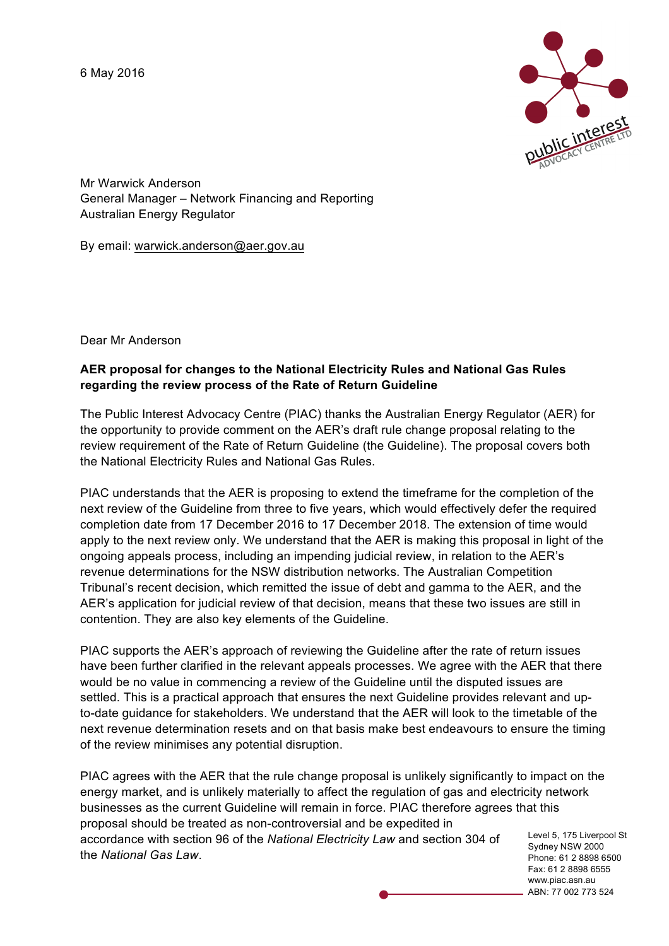6 May 2016



Mr Warwick Anderson General Manager – Network Financing and Reporting Australian Energy Regulator

By email: warwick.anderson@aer.gov.au

Dear Mr Anderson

## **AER proposal for changes to the National Electricity Rules and National Gas Rules regarding the review process of the Rate of Return Guideline**

The Public Interest Advocacy Centre (PIAC) thanks the Australian Energy Regulator (AER) for the opportunity to provide comment on the AER's draft rule change proposal relating to the review requirement of the Rate of Return Guideline (the Guideline). The proposal covers both the National Electricity Rules and National Gas Rules.

PIAC understands that the AER is proposing to extend the timeframe for the completion of the next review of the Guideline from three to five years, which would effectively defer the required completion date from 17 December 2016 to 17 December 2018. The extension of time would apply to the next review only. We understand that the AER is making this proposal in light of the ongoing appeals process, including an impending judicial review, in relation to the AER's revenue determinations for the NSW distribution networks. The Australian Competition Tribunal's recent decision, which remitted the issue of debt and gamma to the AER, and the AER's application for judicial review of that decision, means that these two issues are still in contention. They are also key elements of the Guideline.

PIAC supports the AER's approach of reviewing the Guideline after the rate of return issues have been further clarified in the relevant appeals processes. We agree with the AER that there would be no value in commencing a review of the Guideline until the disputed issues are settled. This is a practical approach that ensures the next Guideline provides relevant and upto-date guidance for stakeholders. We understand that the AER will look to the timetable of the next revenue determination resets and on that basis make best endeavours to ensure the timing of the review minimises any potential disruption.

Sydney NSW 2000 PIAC agrees with the AER that the rule change proposal is unlikely significantly to impact on the energy market, and is unlikely materially to affect the regulation of gas and electricity network businesses as the current Guideline will remain in force. PIAC therefore agrees that this proposal should be treated as non-controversial and be expedited in accordance with section 96 of the *National Electricity Law* and section 304 of the *National Gas Law*.

Level 5, 175 Liverpool St Phone: 61 2 8898 6500 Fax: 61 2 8898 6555 www.piac.asn.au ABN: 77 002 773 524